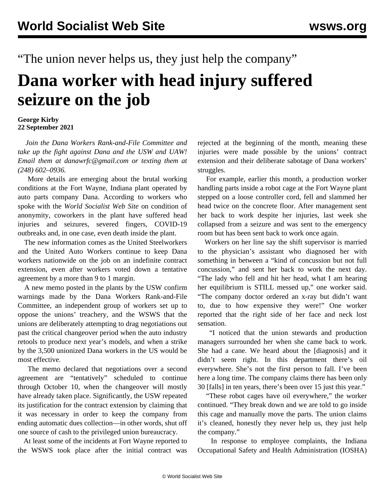"The union never helps us, they just help the company"

## **Dana worker with head injury suffered seizure on the job**

## **George Kirby 22 September 2021**

 *Join the Dana Workers Rank-and-File Committee and take up the fight against Dana and the USW and UAW! Email them at danawrfc@gmail.com or texting them at (248) 602–0936.*

 More details are emerging about the brutal working conditions at the Fort Wayne, Indiana plant operated by auto parts company Dana. According to workers who spoke with the *World Socialist Web Site* on condition of anonymity, coworkers in the plant have suffered head injuries and seizures, severed fingers, COVID-19 outbreaks and, in one case, even death inside the plant.

 The new information comes as the United Steelworkers and the United Auto Workers continue to keep Dana workers nationwide on the job on an indefinite contract extension, even after workers voted down a tentative agreement by a more than 9 to 1 margin.

 A new memo posted in the plants by the USW confirm warnings made by the Dana Workers Rank-and-File Committee, an independent group of workers set up to oppose the unions' treachery, and the WSWS that the unions are deliberately attempting to drag negotiations out past the critical changeover period when the auto industry retools to produce next year's models, and when a strike by the 3,500 unionized Dana workers in the US would be most effective.

 The memo declared that negotiations over a second agreement are "tentatively" scheduled to continue through October 10, when the changeover will mostly have already taken place. Significantly, the USW repeated its justification for the contract extension by claiming that it was necessary in order to keep the company from ending automatic dues collection—in other words, shut off one source of cash to the privileged union bureaucracy.

 At least some of the incidents at Fort Wayne reported to the WSWS took place after the initial contract was rejected at the beginning of the month, meaning these injuries were made possible by the unions' contract extension and their deliberate sabotage of Dana workers' struggles.

 For example, earlier this month, a production worker handling parts inside a robot cage at the Fort Wayne plant stepped on a loose controller cord, fell and slammed her head twice on the concrete floor. After management sent her back to work despite her injuries, last week she collapsed from a seizure and was sent to the emergency room but has been sent back to work once again.

 Workers on her line say the shift supervisor is married to the physician's assistant who diagnosed her with something in between a "kind of concussion but not full concussion," and sent her back to work the next day. "The lady who fell and hit her head, what I am hearing her equilibrium is STILL messed up," one worker said. "The company doctor ordered an x-ray but didn't want to, due to how expensive they were!" One worker reported that the right side of her face and neck lost sensation.

 "I noticed that the union stewards and production managers surrounded her when she came back to work. She had a cane. We heard about the [diagnosis] and it didn't seem right. In this department there's oil everywhere. She's not the first person to fall. I've been here a long time. The company claims there has been only 30 [falls] in ten years, there's been over 15 just this year."

 "These robot cages have oil everywhere," the worker continued. "They break down and we are told to go inside this cage and manually move the parts. The union claims it's cleaned, honestly they never help us, they just help the company."

 In response to employee complaints, the Indiana Occupational Safety and Health Administration (IOSHA)